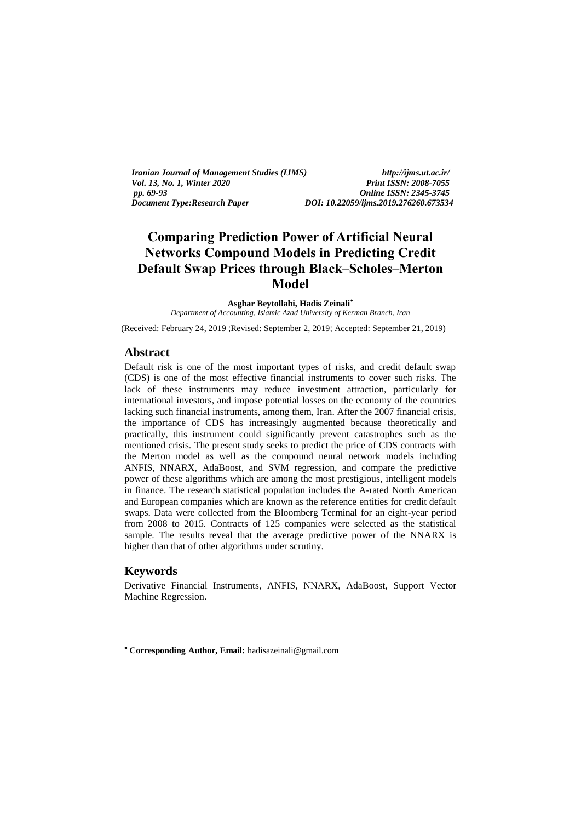*Iranian Journal of Management Studies (IJMS) http://ijms.ut.ac.ir/ Vol. 13, No. 1, Winter 2020 Print ISSN: 2008-7055*<br> *pp. 69-93 Online ISSN: 2345-3745 pp. 69-93 Online ISSN: 2345-3745*

*Document Type:Research Paper DOI: 10.22059/ijms.2019.276260.673534*

# **Comparing Prediction Power of Artificial Neural Networks Compound Models in Predicting Credit Default Swap Prices through Black–Scholes–Merton Model**

**Asghar Beytollahi, Hadis Zeinali**

*Department of Accounting, Islamic Azad University of Kerman Branch, Iran*

(Received: February 24, 2019 ;Revised: September 2, 2019; Accepted: September 21, 2019)

#### **Abstract**

Default risk is one of the most important types of risks, and credit default swap (CDS) is one of the most effective financial instruments to cover such risks. The lack of these instruments may reduce investment attraction, particularly for international investors, and impose potential losses on the economy of the countries lacking such financial instruments, among them, Iran. After the 2007 financial crisis, the importance of CDS has increasingly augmented because theoretically and practically, this instrument could significantly prevent catastrophes such as the mentioned crisis. The present study seeks to predict the price of CDS contracts with the Merton model as well as the compound neural network models including ANFIS, NNARX, AdaBoost, and SVM regression*,* and compare the predictive power of these algorithms which are among the most prestigious, intelligent models in finance. The research statistical population includes the A-rated North American and European companies which are known as the reference entities for credit default swaps. Data were collected from the Bloomberg Terminal for an eight-year period from 2008 to 2015. Contracts of 125 companies were selected as the statistical sample. The results reveal that the average predictive power of the NNARX is higher than that of other algorithms under scrutiny.

#### **Keywords**

-

Derivative Financial Instruments, ANFIS, NNARX, AdaBoost, Support Vector Machine Regression.

**Corresponding Author, Email:** hadisazeinali@gmail.com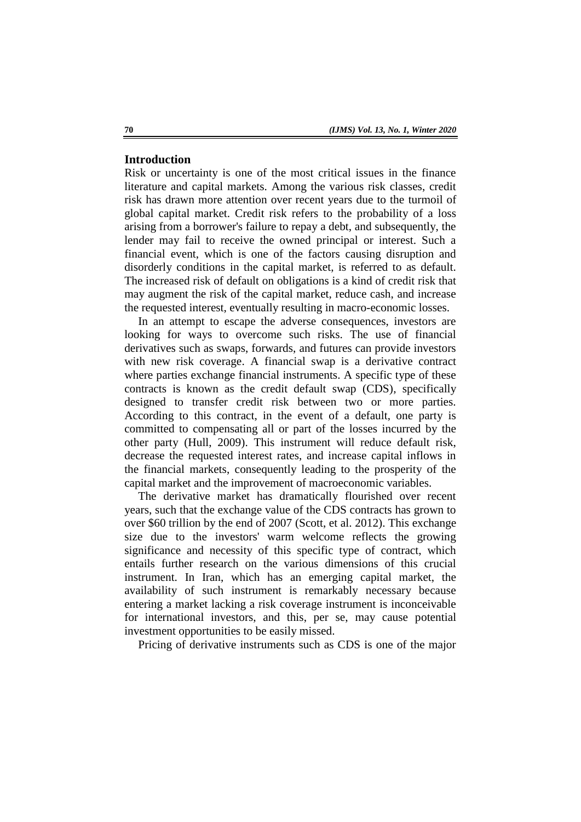# **Introduction**

Risk or uncertainty is one of the most critical issues in the finance literature and capital markets. Among the various risk classes, credit risk has drawn more attention over recent years due to the turmoil of global capital market. Credit risk refers to the probability of a loss arising from a borrower's failure to repay a debt, and subsequently, the lender may fail to receive the owned principal or interest. Such a financial event, which is one of the factors causing disruption and disorderly conditions in the capital market, is referred to as default. The increased risk of default on obligations is a kind of credit risk that may augment the risk of the capital market, reduce cash, and increase the requested interest, eventually resulting in macro-economic losses.

In an attempt to escape the adverse consequences, investors are looking for ways to overcome such risks. The use of financial derivatives such as swaps, forwards, and futures can provide investors with new risk coverage. A financial swap is a derivative contract where parties exchange financial instruments. A specific type of these contracts is known as the credit default swap (CDS), specifically designed to transfer credit risk between two or more parties. According to this contract, in the event of a default, one party is committed to compensating all or part of the losses incurred by the other party (Hull, 2009). This instrument will reduce default risk, decrease the requested interest rates, and increase capital inflows in the financial markets, consequently leading to the prosperity of the capital market and the improvement of macroeconomic variables.

The derivative market has dramatically flourished over recent years, such that the exchange value of the CDS contracts has grown to over \$60 trillion by the end of 2007 (Scott, et al. 2012). This exchange size due to the investors' warm welcome reflects the growing significance and necessity of this specific type of contract, which entails further research on the various dimensions of this crucial instrument. In Iran, which has an emerging capital market, the availability of such instrument is remarkably necessary because entering a market lacking a risk coverage instrument is inconceivable for international investors, and this, per se, may cause potential investment opportunities to be easily missed.

Pricing of derivative instruments such as CDS is one of the major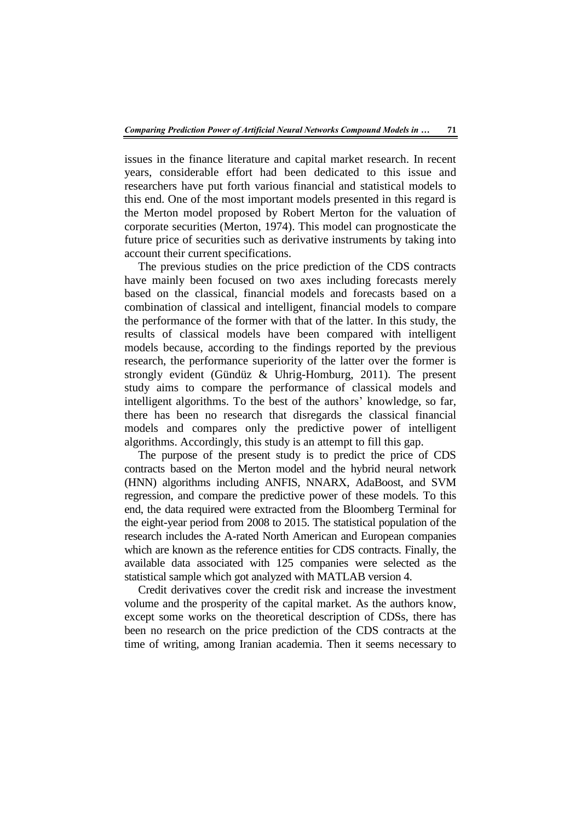issues in the finance literature and capital market research. In recent years, considerable effort had been dedicated to this issue and researchers have put forth various financial and statistical models to this end. One of the most important models presented in this regard is the Merton model proposed by Robert Merton for the valuation of corporate securities (Merton, 1974). This model can prognosticate the future price of securities such as derivative instruments by taking into account their current specifications.

The previous studies on the price prediction of the CDS contracts have mainly been focused on two axes including forecasts merely based on the classical, financial models and forecasts based on a combination of classical and intelligent, financial models to compare the performance of the former with that of the latter. In this study, the results of classical models have been compared with intelligent models because, according to the findings reported by the previous research, the performance superiority of the latter over the former is strongly evident (Gündüz & Uhrig-Homburg, 2011). The present study aims to compare the performance of classical models and intelligent algorithms. To the best of the authors' knowledge, so far, there has been no research that disregards the classical financial models and compares only the predictive power of intelligent algorithms. Accordingly, this study is an attempt to fill this gap.

The purpose of the present study is to predict the price of CDS contracts based on the Merton model and the hybrid neural network (HNN) algorithms including ANFIS, NNARX, AdaBoost, and SVM regression, and compare the predictive power of these models. To this end, the data required were extracted from the Bloomberg Terminal for the eight-year period from 2008 to 2015. The statistical population of the research includes the A-rated North American and European companies which are known as the reference entities for CDS contracts. Finally, the available data associated with 125 companies were selected as the statistical sample which got analyzed with MATLAB version 4.

Credit derivatives cover the credit risk and increase the investment volume and the prosperity of the capital market. As the authors know, except some works on the theoretical description of CDSs, there has been no research on the price prediction of the CDS contracts at the time of writing, among Iranian academia. Then it seems necessary to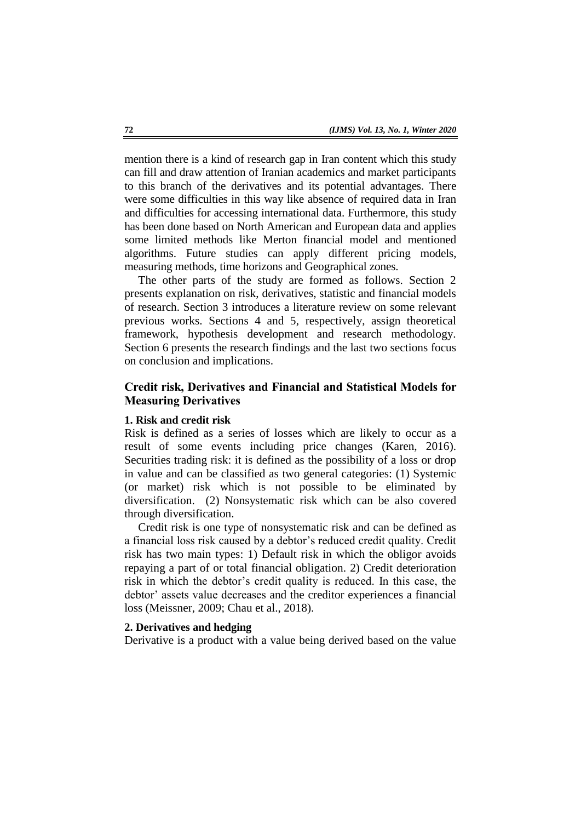mention there is a kind of research gap in Iran content which this study can fill and draw attention of Iranian academics and market participants to this branch of the derivatives and its potential advantages. There were some difficulties in this way like absence of required data in Iran and difficulties for accessing international data. Furthermore, this study has been done based on North American and European data and applies some limited methods like Merton financial model and mentioned algorithms. Future studies can apply different pricing models, measuring methods, time horizons and Geographical zones.

The other parts of the study are formed as follows. Section 2 presents explanation on risk, derivatives, statistic and financial models of research. Section 3 introduces a literature review on some relevant previous works. Sections 4 and 5, respectively, assign theoretical framework, hypothesis development and research methodology. Section 6 presents the research findings and the last two sections focus on conclusion and implications.

# **Credit risk, Derivatives and Financial and Statistical Models for Measuring Derivatives**

#### **1. Risk and credit risk**

Risk is defined as a series of losses which are likely to occur as a result of some events including price changes (Karen, 2016). Securities trading risk: it is defined as the possibility of a loss or drop in value and can be classified as two general categories: (1) Systemic (or market) risk which is not possible to be eliminated by diversification. (2) Nonsystematic risk which can be also covered through diversification.

Credit risk is one type of nonsystematic risk and can be defined as a financial loss risk caused by a debtor's reduced credit quality. Credit risk has two main types: 1) Default risk in which the obligor avoids repaying a part of or total financial obligation. 2) Credit deterioration risk in which the debtor's credit quality is reduced. In this case, the debtor' assets value decreases and the creditor experiences a financial loss (Meissner, 2009; Chau et al., 2018).

### **2. Derivatives and hedging**

Derivative is a product with a value being derived based on the value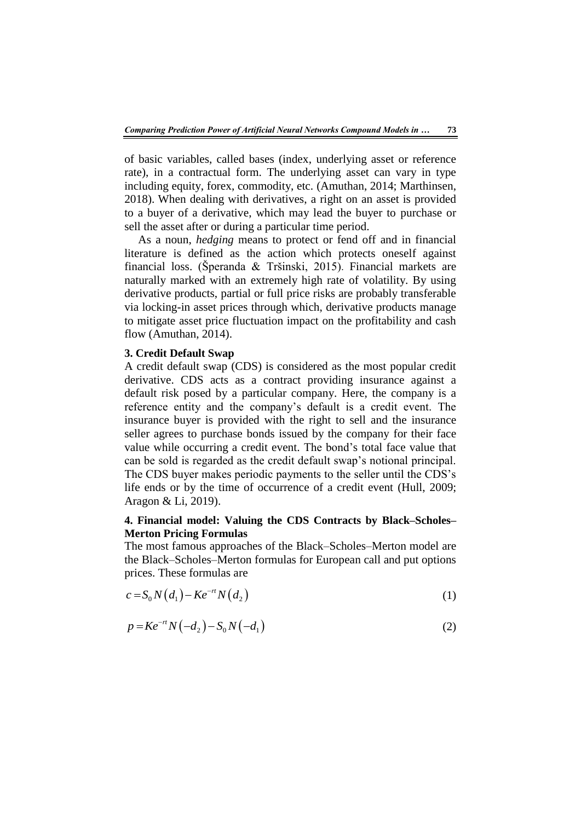of basic variables, called bases (index, underlying asset or reference rate), in a contractual form. The underlying asset can vary in type including equity, forex, commodity, etc. (Amuthan, 2014; Marthinsen, 2018). When dealing with derivatives, a right on an asset is provided to a buyer of a derivative, which may lead the buyer to purchase or sell the asset after or during a particular time period.

As a noun, *hedging* means to protect or fend off and in financial literature is defined as the action which protects oneself against financial loss. (Šperanda & Tršinski, 2015). Financial markets are naturally marked with an extremely high rate of volatility. By using derivative products, partial or full price risks are probably transferable via locking-in asset prices through which, derivative products manage to mitigate asset price fluctuation impact on the profitability and cash flow (Amuthan, 2014).

#### **3. Credit Default Swap**

A credit default swap (CDS) is considered as the most popular credit derivative. CDS acts as a contract providing insurance against a default risk posed by a particular company. Here, the company is a reference entity and the company's default is a credit event. The insurance buyer is provided with the right to sell and the insurance seller agrees to purchase bonds issued by the company for their face value while occurring a credit event. The bond's total face value that can be sold is regarded as the credit default swap's notional principal. The CDS buyer makes periodic payments to the seller until the CDS's life ends or by the time of occurrence of a credit event (Hull, 2009; Aragon & Li, 2019).

# **4. Financial model: Valuing the CDS Contracts by Black–Scholes– Merton Pricing Formulas**

The most famous approaches of the Black–Scholes–Merton model are the Black–Scholes–Merton formulas for European call and put options prices. These formulas are

$$
c = S_0 N(d_1) - Ke^{-rt} N(d_2)
$$
\n(1)

$$
p = Ke^{-rt}N(-d_2) - S_0N(-d_1)
$$
\n(2)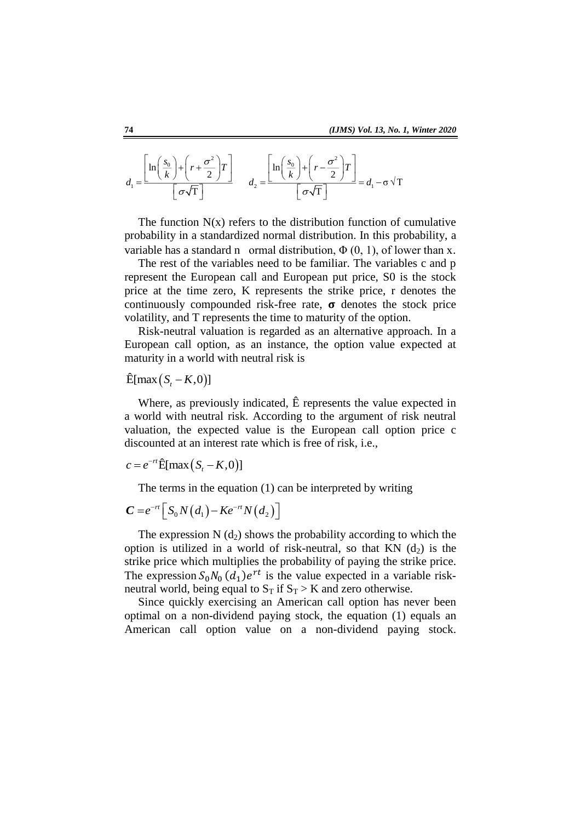$$
d_1 = \frac{\left[\ln\left(\frac{s_0}{k}\right) + \left(r + \frac{\sigma^2}{2}\right)T\right]}{\left[\sigma\sqrt{T}\right]} \qquad d_2 = \frac{\left[\ln\left(\frac{s_0}{k}\right) + \left(r - \frac{\sigma^2}{2}\right)T\right]}{\left[\sigma\sqrt{T}\right]} = d_1 - \sigma\sqrt{T}
$$

The function  $N(x)$  refers to the distribution function of cumulative probability in a standardized normal distribution. In this probability, a variable has a standard n ormal distribution,  $\Phi(0, 1)$ , of lower than x.

The rest of the variables need to be familiar. The variables c and p represent the European call and European put price, S0 is the stock price at the time zero, K represents the strike price, r denotes the continuously compounded risk-free rate,  $\sigma$  denotes the stock price volatility, and T represents the time to maturity of the option.

Risk-neutral valuation is regarded as an alternative approach. In a European call option, as an instance, the option value expected at maturity in a world with neutral risk is

 $\hat{E}$ [max  $(S, -K, 0)$ ]

Where, as previously indicated, Ê represents the value expected in a world with neutral risk. According to the argument of risk neutral valuation, the expected value is the European call option price c discounted at an interest rate which is free of risk, i.e.,

$$
c = e^{-rt} \hat{E}[\max(S_t - K, 0)]
$$

The terms in the equation (1) can be interpreted by writing

$$
C = e^{-rt} \Big[ S_0 N\big(d_1\big) - Ke^{-rt} N\big(d_2\big) \Big]
$$

The expression  $N$  (d<sub>2</sub>) shows the probability according to which the option is utilized in a world of risk-neutral, so that  $KN$  (d<sub>2</sub>) is the strike price which multiplies the probability of paying the strike price. The expression  $S_0 N_0 (d_1) e^{rt}$  is the value expected in a variable riskneutral world, being equal to  $S_T$  if  $S_T > K$  and zero otherwise.

Since quickly exercising an American call option has never been optimal on a non-dividend paying stock, the equation (1) equals an American call option value on a non-dividend paying stock.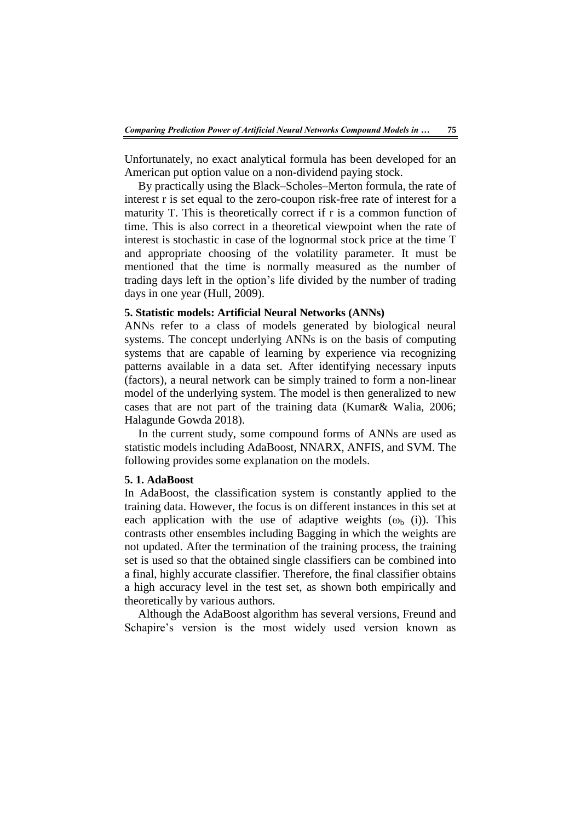Unfortunately, no exact analytical formula has been developed for an American put option value on a non-dividend paying stock.

By practically using the Black–Scholes–Merton formula, the rate of interest r is set equal to the zero-coupon risk-free rate of interest for a maturity T. This is theoretically correct if r is a common function of time. This is also correct in a theoretical viewpoint when the rate of interest is stochastic in case of the lognormal stock price at the time T and appropriate choosing of the volatility parameter. It must be mentioned that the time is normally measured as the number of trading days left in the option's life divided by the number of trading days in one year (Hull, 2009).

# **5. Statistic models: Artificial Neural Networks (ANNs)**

ANNs refer to a class of models generated by biological neural systems. The concept underlying ANNs is on the basis of computing systems that are capable of learning by experience via recognizing patterns available in a data set. After identifying necessary inputs (factors), a neural network can be simply trained to form a non-linear model of the underlying system. The model is then generalized to new cases that are not part of the training data (Kumar& Walia, 2006; Halagunde Gowda 2018).

In the current study, some compound forms of ANNs are used as statistic models including AdaBoost, NNARX, ANFIS, and SVM. The following provides some explanation on the models.

#### **5. 1. AdaBoost**

In AdaBoost, the classification system is constantly applied to the training data. However, the focus is on different instances in this set at each application with the use of adaptive weights  $(\omega_b \text{ (i)})$ . This contrasts other ensembles including Bagging in which the weights are not updated. After the termination of the training process, the training set is used so that the obtained single classifiers can be combined into a final, highly accurate classifier. Therefore, the final classifier obtains a high accuracy level in the test set, as shown both empirically and theoretically by various authors.

Although the AdaBoost algorithm has several versions, Freund and Schapire's version is the most widely used version known as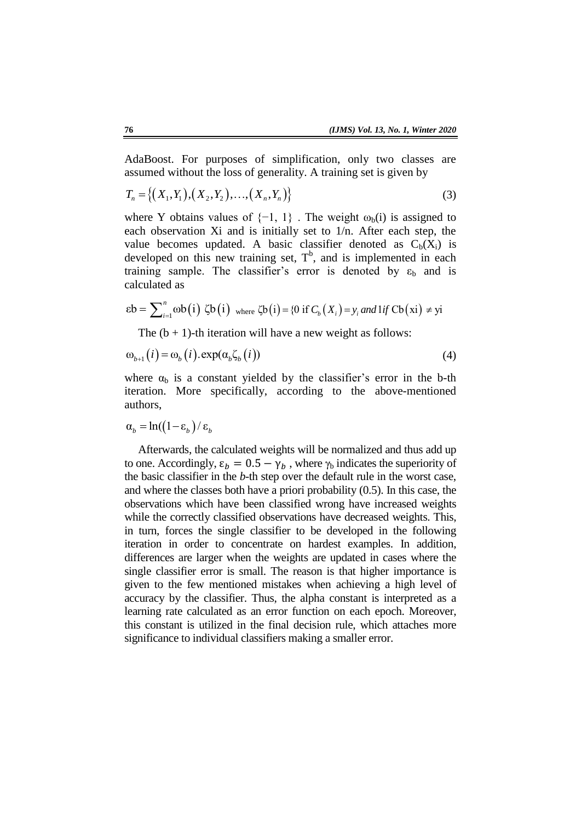AdaBoost. For purposes of simplification, only two classes are assumed without the loss of generality. A training set is given by

$$
T_n = \{(X_1, Y_1), (X_2, Y_2), \dots, (X_n, Y_n)\}\tag{3}
$$

where Y obtains values of  $\{-1, 1\}$ . The weight  $\omega_{b}(i)$  is assigned to each observation Xi and is initially set to 1/n. After each step, the value becomes updated. A basic classifier denoted as  $C_b(X_i)$  is developed on this new training set,  $T<sup>b</sup>$ , and is implemented in each training sample. The classifier's error is denoted by  $\varepsilon_b$  and is calculated as

$$
\varepsilon b = \sum_{i=1}^{n} \omega b(i) \zeta b(i) \quad \text{where } \zeta b(i) = \{0 \text{ if } C_b(X_i) = y_i \text{ and } 1 \text{ if } \text{Cb}(xi) \neq yi \}
$$

The  $(b + 1)$ -th iteration will have a new weight as follows:

$$
\omega_{b+1}(i) = \omega_b(i) \cdot \exp(\alpha_b \zeta_b(i))
$$
\n(4)

where  $\alpha_b$  is a constant yielded by the classifier's error in the b-th iteration. More specifically, according to the above-mentioned authors,

$$
\alpha_b = \ln((1 - \varepsilon_b)/\varepsilon_b)
$$

Afterwards, the calculated weights will be normalized and thus add up to one. Accordingly,  $\varepsilon_b = 0.5 - \gamma_b$ , where  $\gamma_b$  indicates the superiority of the basic classifier in the *b*-th step over the default rule in the worst case, and where the classes both have a priori probability (0.5). In this case, the observations which have been classified wrong have increased weights while the correctly classified observations have decreased weights. This, in turn, forces the single classifier to be developed in the following iteration in order to concentrate on hardest examples. In addition, differences are larger when the weights are updated in cases where the single classifier error is small. The reason is that higher importance is given to the few mentioned mistakes when achieving a high level of accuracy by the classifier. Thus, the alpha constant is interpreted as a learning rate calculated as an error function on each epoch. Moreover, this constant is utilized in the final decision rule, which attaches more significance to individual classifiers making a smaller error.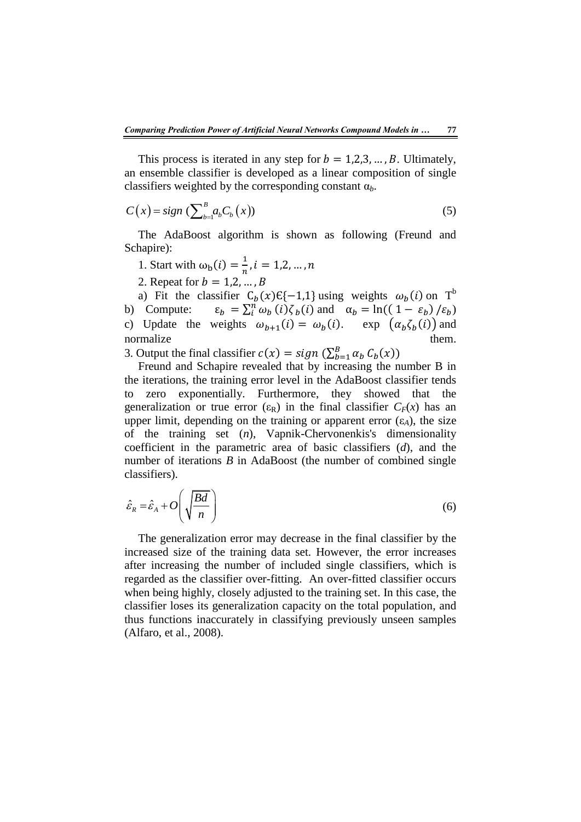This process is iterated in any step for  $b = 1,2,3,...,B$ . Ultimately, an ensemble classifier is developed as a linear composition of single classifiers weighted by the corresponding constant α*b*.

$$
C(x) = sign \left( \sum_{b=1}^{B} a_b C_b(x) \right) \tag{5}
$$

The AdaBoost algorithm is shown as following (Freund and Schapire):

1. Start with 
$$
\omega_{b}(i) = \frac{1}{n}, i = 1, 2, ..., n
$$

2. Repeat for

a) Fit the classifier  $C_b(x) \in \{-1,1\}$  using weights  $\omega_b(i)$  on T<sup>b</sup> b) Compute:  $\varepsilon_b = \sum_i^n \omega_b(i) \zeta_b(i)$  and  $\alpha_b = \ln((1 - \varepsilon_b) / \varepsilon_b)$ c) Update the weights  $\omega_{b+1}(i) = \omega_b(i)$ . exp  $(\alpha_b \zeta_b(i))$  and normalize them.

3. Output the final classifier  $c(x) = sign(\sum_{b=1}^{B} \alpha_b C_b(x))$ 

Freund and Schapire revealed that by increasing the number B in the iterations, the training error level in the AdaBoost classifier tends to zero exponentially. Furthermore, they showed that the generalization or true error  $(\epsilon_R)$  in the final classifier  $C_F(x)$  has an upper limit, depending on the training or apparent error  $(\epsilon_A)$ , the size of the training set (*n*), Vapnik-Chervonenkis's dimensionality coefficient in the parametric area of basic classifiers (*d*), and the number of iterations *B* in AdaBoost (the number of combined single classifiers).

$$
\hat{\varepsilon}_R = \hat{\varepsilon}_A + O\left(\sqrt{\frac{Bd}{n}}\right) \tag{6}
$$

The generalization error may decrease in the final classifier by the increased size of the training data set. However, the error increases after increasing the number of included single classifiers, which is regarded as the classifier over-fitting. An over-fitted classifier occurs when being highly, closely adjusted to the training set. In this case, the classifier loses its generalization capacity on the total population, and thus functions inaccurately in classifying previously unseen samples (Alfaro, et al., 2008).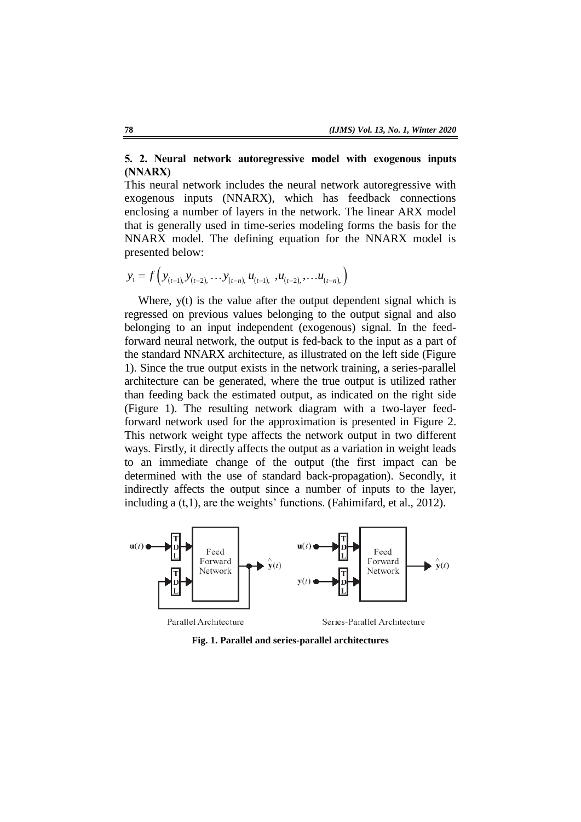# **5. 2. Neural network autoregressive model with exogenous inputs (NNARX)**

This neural network includes the neural network autoregressive with exogenous inputs (NNARX), which has feedback connections enclosing a number of layers in the network. The linear ARX model that is generally used in time-series modeling forms the basis for the NNARX model. The defining equation for the NNARX model is presented below:

$$
y_1 = f\left(y_{(t-1)}, y_{(t-2)}, \ldots y_{(t-n)}, u_{(t-1)}, u_{(t-2)}, \ldots u_{(t-n)}\right)
$$

Where, y(t) is the value after the output dependent signal which is regressed on previous values belonging to the output signal and also belonging to an input independent (exogenous) signal. In the feedforward neural network, the output is fed-back to the input as a part of the standard NNARX architecture, as illustrated on the left side (Figure 1). Since the true output exists in the network training, a series-parallel architecture can be generated, where the true output is utilized rather than feeding back the estimated output, as indicated on the right side (Figure 1). The resulting network diagram with a two-layer feedforward network used for the approximation is presented in Figure 2. This network weight type affects the network output in two different ways. Firstly, it directly affects the output as a variation in weight leads to an immediate change of the output (the first impact can be determined with the use of standard back-propagation). Secondly, it indirectly affects the output since a number of inputs to the layer, including a  $(t,1)$ , are the weights' functions. (Fahimifard, et al., 2012).



**Fig. 1. Parallel and series-parallel architectures**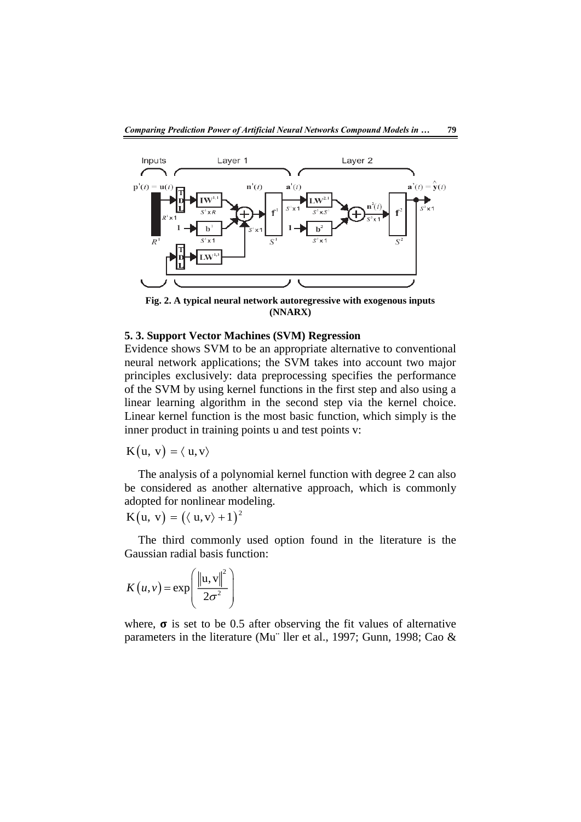

**Fig. 2. A typical neural network autoregressive with exogenous inputs (NNARX)**

#### **5. 3. Support Vector Machines (SVM) Regression**

Evidence shows SVM to be an appropriate alternative to conventional neural network applications; the SVM takes into account two major principles exclusively: data preprocessing specifies the performance of the SVM by using kernel functions in the first step and also using a linear learning algorithm in the second step via the kernel choice. Linear kernel function is the most basic function, which simply is the inner product in training points u and test points v:

 $K(u, v) = \langle u, v \rangle$ 

The analysis of a polynomial kernel function with degree 2 can also be considered as another alternative approach, which is commonly adopted for nonlinear modeling.

 $K(u, v) = (\langle u, v \rangle + 1)^2$ 

The third commonly used option found in the literature is the Gaussian radial basis function:

$$
K(u, v) = \exp\left(\frac{\left\|u, v\right\|^2}{2\sigma^2}\right)
$$

where,  $\sigma$  is set to be 0.5 after observing the fit values of alternative parameters in the literature (Mu¨ ller et al., 1997; Gunn, 1998; Cao &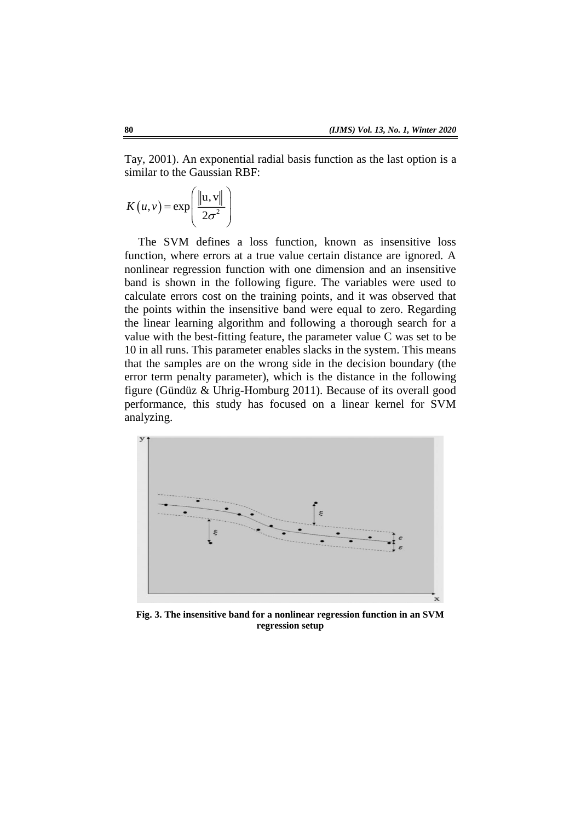Tay, 2001). An exponential radial basis function as the last option is a similar to the Gaussian RBF:

$$
K(u,v) = \exp\left(\frac{\|u,v\|}{2\sigma^2}\right)
$$

The SVM defines a loss function, known as insensitive loss function, where errors at a true value certain distance are ignored. A nonlinear regression function with one dimension and an insensitive band is shown in the following figure. The variables were used to calculate errors cost on the training points, and it was observed that the points within the insensitive band were equal to zero. Regarding the linear learning algorithm and following a thorough search for a value with the best-fitting feature, the parameter value C was set to be 10 in all runs. This parameter enables slacks in the system. This means that the samples are on the wrong side in the decision boundary (the error term penalty parameter), which is the distance in the following figure (Gündüz & Uhrig-Homburg 2011). Because of its overall good performance, this study has focused on a linear kernel for SVM analyzing.



**Fig. 3. The insensitive band for a nonlinear regression function in an SVM regression setup**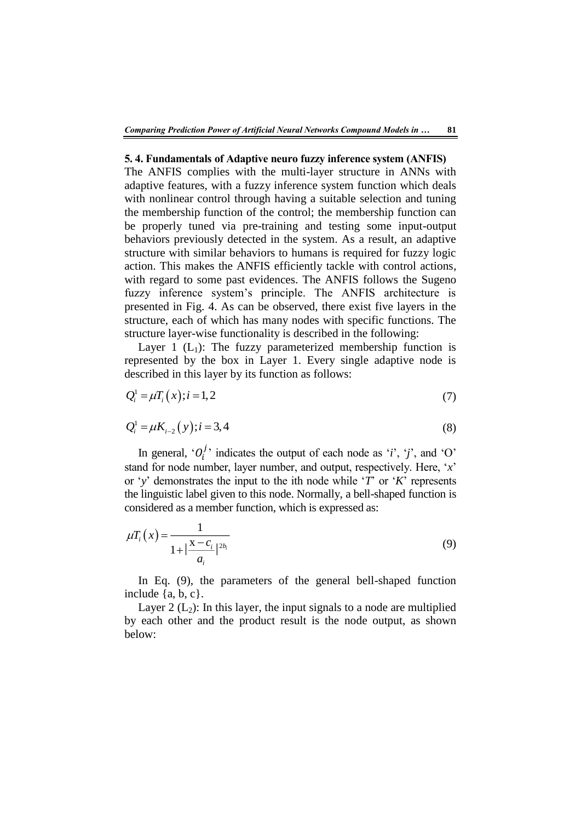#### **5. 4. Fundamentals of Adaptive neuro fuzzy inference system (ANFIS)**

The ANFIS complies with the multi-layer structure in ANNs with adaptive features, with a fuzzy inference system function which deals with nonlinear control through having a suitable selection and tuning the membership function of the control; the membership function can be properly tuned via pre-training and testing some input-output behaviors previously detected in the system. As a result, an adaptive structure with similar behaviors to humans is required for fuzzy logic action. This makes the ANFIS efficiently tackle with control actions, with regard to some past evidences. The ANFIS follows the Sugeno fuzzy inference system's principle. The ANFIS architecture is presented in Fig. 4. As can be observed, there exist five layers in the structure, each of which has many nodes with specific functions. The structure layer-wise functionality is described in the following:

Layer 1  $(L_1)$ : The fuzzy parameterized membership function is represented by the box in Layer 1. Every single adaptive node is described in this layer by its function as follows:

$$
Q_i^1 = \mu T_i(x); i = 1, 2
$$
\n(7)

$$
Q_i^1 = \mu K_{i-2}(y); i = 3, 4
$$
 (8)

In general,  $^{\circ}O_i^j$  indicates the output of each node as '*i*', '*j*', and 'O' stand for node number, layer number, and output, respectively. Here, '*x*' or '*y*' demonstrates the input to the ith node while '*T*' or '*K*' represents the linguistic label given to this node. Normally, a bell-shaped function is considered as a member function, which is expressed as:

$$
\mu T_i(x) = \frac{1}{1 + |\frac{x - c_i}{a_i}|^{2b_i}}
$$
\n(9)

In Eq. (9), the parameters of the general bell-shaped function include  $\{a, b, c\}$ .

Layer 2 ( $L_2$ ): In this layer, the input signals to a node are multiplied by each other and the product result is the node output, as shown below: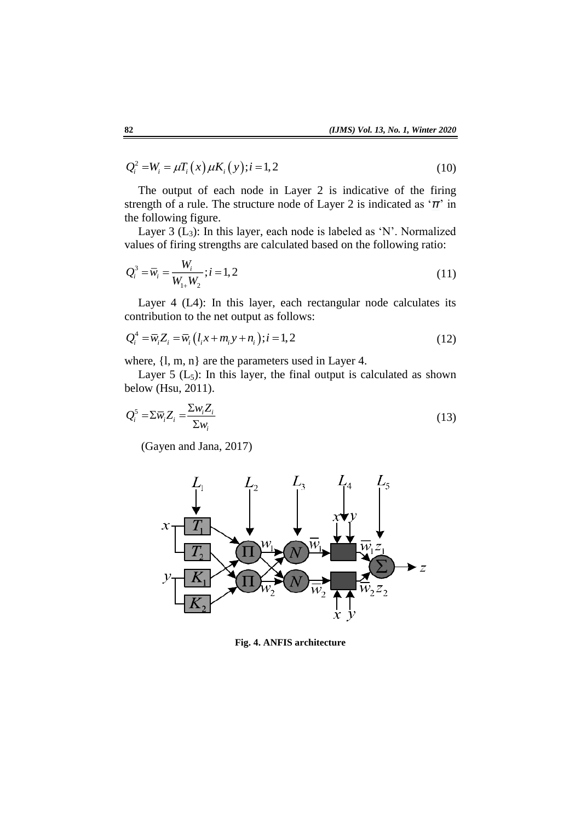$$
Q_i^2 = W_i = \mu T_i(x) \mu K_i(y); i = 1, 2
$$
\n(10)

The output of each node in Layer 2 is indicative of the firing strength of a rule. The structure node of Layer 2 is indicated as '*π*' in the following figure.

Layer 3  $(L_3)$ : In this layer, each node is labeled as 'N'. Normalized values of firing strengths are calculated based on the following ratio:

$$
Q_i^3 = \overline{w}_i = \frac{W_i}{W_{1+}W_2}; i = 1, 2
$$
\n(11)

Layer 4 (L4): In this layer, each rectangular node calculates its contribution to the net output as follows:

$$
Q_i^4 = \overline{w}_i Z_i = \overline{w}_i (l_i x + m_i y + n_i); i = 1, 2
$$
 (12)

where,  $\{l, m, n\}$  are the parameters used in Layer 4.

Layer  $5$  ( $L_5$ ): In this layer, the final output is calculated as shown below (Hsu, 2011).

$$
Q_i^5 = \sum \overline{w}_i Z_i = \frac{\sum w_i Z_i}{\sum w_i}
$$
 (13)

(Gayen and Jana, 2017)



**Fig. 4. ANFIS architecture**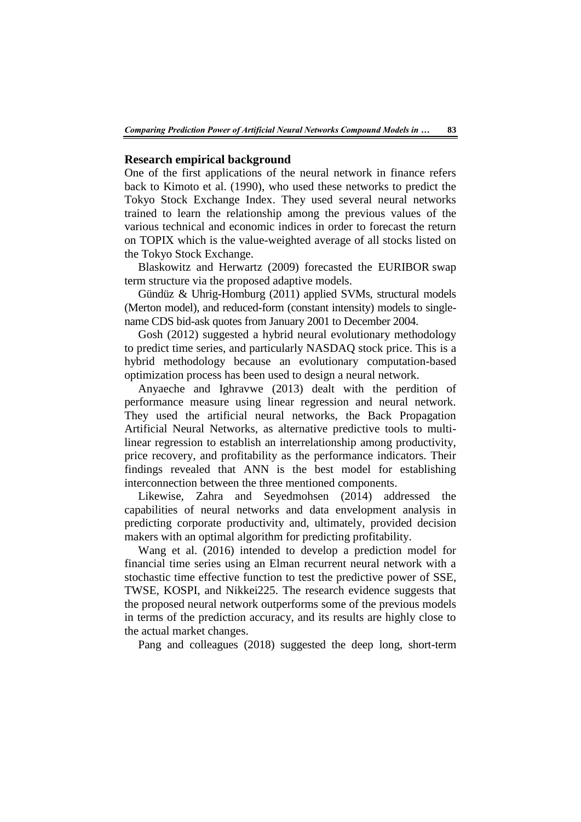### **Research empirical background**

One of the first applications of the neural network in finance refers back to Kimoto et al. (1990), who used these networks to predict the Tokyo Stock Exchange Index. They used several neural networks trained to learn the relationship among the previous values of the various technical and economic indices in order to forecast the return on TOPIX which is the value-weighted average of all stocks listed on the Tokyo Stock Exchange.

Blaskowitz and Herwartz (2009) forecasted the EURIBOR swap term structure via the proposed adaptive models.

Gündüz & Uhrig-Homburg (2011) applied SVMs, structural models (Merton model), and reduced-form (constant intensity) models to singlename CDS bid-ask quotes from January 2001 to December 2004.

Gosh (2012) suggested a hybrid neural evolutionary methodology to predict time series, and particularly NASDAQ stock price. This is a hybrid methodology because an evolutionary computation-based optimization process has been used to design a neural network.

Anyaeche and Ighravwe (2013) dealt with the perdition of performance measure using linear regression and neural network. They used the artificial neural networks, the Back Propagation Artificial Neural Networks, as alternative predictive tools to multilinear regression to establish an interrelationship among productivity, price recovery, and profitability as the performance indicators. Their findings revealed that ANN is the best model for establishing interconnection between the three mentioned components.

Likewise, Zahra and Seyedmohsen (2014) addressed the capabilities of neural networks and data envelopment analysis in predicting corporate productivity and, ultimately, provided decision makers with an optimal algorithm for predicting profitability.

Wang et al. (2016) intended to develop a prediction model for financial time series using an Elman recurrent neural network with a stochastic time effective function to test the predictive power of SSE, TWSE, KOSPI, and Nikkei225. The research evidence suggests that the proposed neural network outperforms some of the previous models in terms of the prediction accuracy, and its results are highly close to the actual market changes.

Pang and colleagues (2018) suggested the deep long, short-term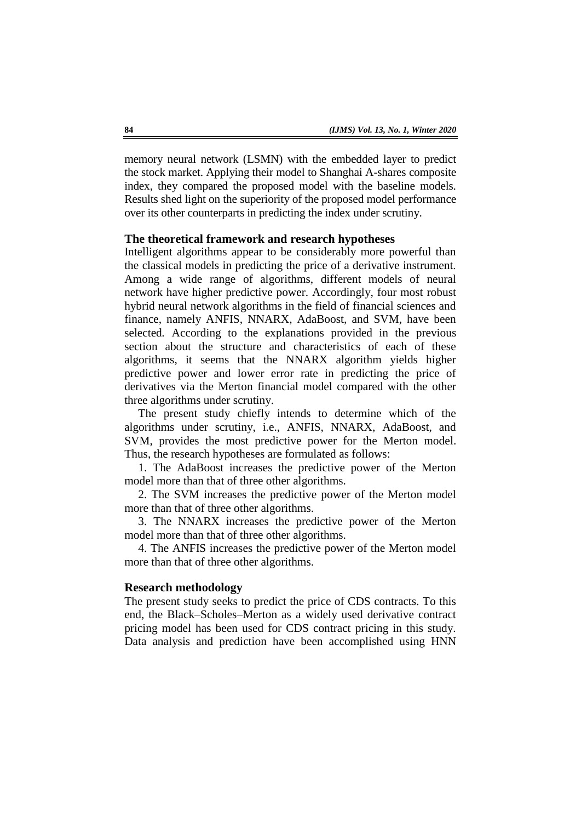memory neural network (LSMN) with the embedded layer to predict the stock market. Applying their model to Shanghai A-shares composite index, they compared the proposed model with the baseline models. Results shed light on the superiority of the proposed model performance over its other counterparts in predicting the index under scrutiny.

#### **The theoretical framework and research hypotheses**

Intelligent algorithms appear to be considerably more powerful than the classical models in predicting the price of a derivative instrument. Among a wide range of algorithms, different models of neural network have higher predictive power. Accordingly, four most robust hybrid neural network algorithms in the field of financial sciences and finance, namely ANFIS, NNARX, AdaBoost, and SVM, have been selected*.* According to the explanations provided in the previous section about the structure and characteristics of each of these algorithms, it seems that the NNARX algorithm yields higher predictive power and lower error rate in predicting the price of derivatives via the Merton financial model compared with the other three algorithms under scrutiny.

The present study chiefly intends to determine which of the algorithms under scrutiny, i.e., ANFIS, NNARX, AdaBoost, and SVM, provides the most predictive power for the Merton model. Thus, the research hypotheses are formulated as follows:

1. The AdaBoost increases the predictive power of the Merton model more than that of three other algorithms.

2. The SVM increases the predictive power of the Merton model more than that of three other algorithms.

3. The NNARX increases the predictive power of the Merton model more than that of three other algorithms.

4. The ANFIS increases the predictive power of the Merton model more than that of three other algorithms.

### **Research methodology**

The present study seeks to predict the price of CDS contracts. To this end, the Black–Scholes–Merton as a widely used derivative contract pricing model has been used for CDS contract pricing in this study. Data analysis and prediction have been accomplished using HNN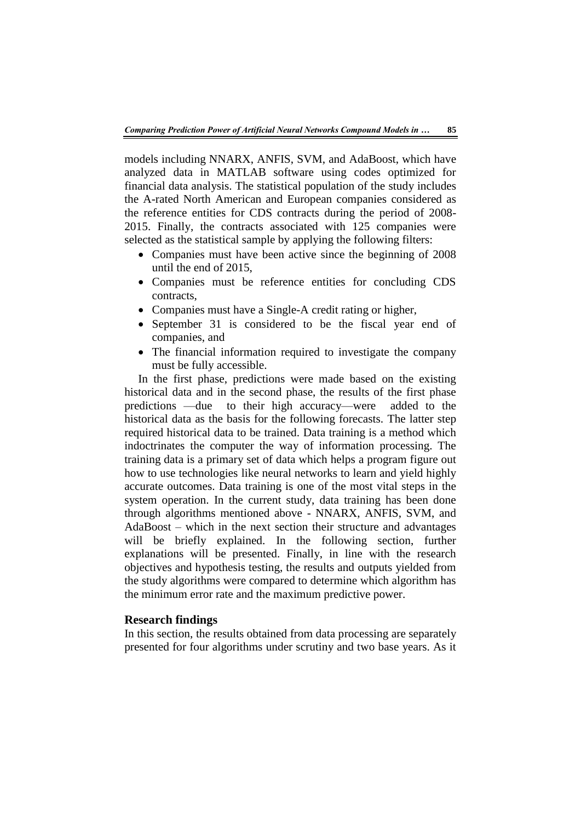models including NNARX, ANFIS, SVM, and AdaBoost, which have analyzed data in MATLAB software using codes optimized for financial data analysis. The statistical population of the study includes the A-rated North American and European companies considered as the reference entities for CDS contracts during the period of 2008- 2015. Finally, the contracts associated with 125 companies were selected as the statistical sample by applying the following filters:

- Companies must have been active since the beginning of 2008 until the end of 2015,
- Companies must be reference entities for concluding CDS contracts,
- Companies must have a Single-A credit rating or higher,
- September 31 is considered to be the fiscal year end of companies, and
- The financial information required to investigate the company must be fully accessible.

In the first phase, predictions were made based on the existing historical data and in the second phase, the results of the first phase predictions —due to their high accuracy—were added to the historical data as the basis for the following forecasts. The latter step required historical data to be trained. Data training is a method which indoctrinates the computer the way of information processing. The training data is a primary set of data which helps a program figure out how to use technologies like neural networks to learn and yield highly accurate outcomes. Data training is one of the most vital steps in the system operation. In the current study, data training has been done through algorithms mentioned above - NNARX, ANFIS, SVM, and AdaBoost – which in the next section their structure and advantages will be briefly explained. In the following section, further explanations will be presented. Finally, in line with the research objectives and hypothesis testing, the results and outputs yielded from the study algorithms were compared to determine which algorithm has the minimum error rate and the maximum predictive power.

### **Research findings**

In this section, the results obtained from data processing are separately presented for four algorithms under scrutiny and two base years. As it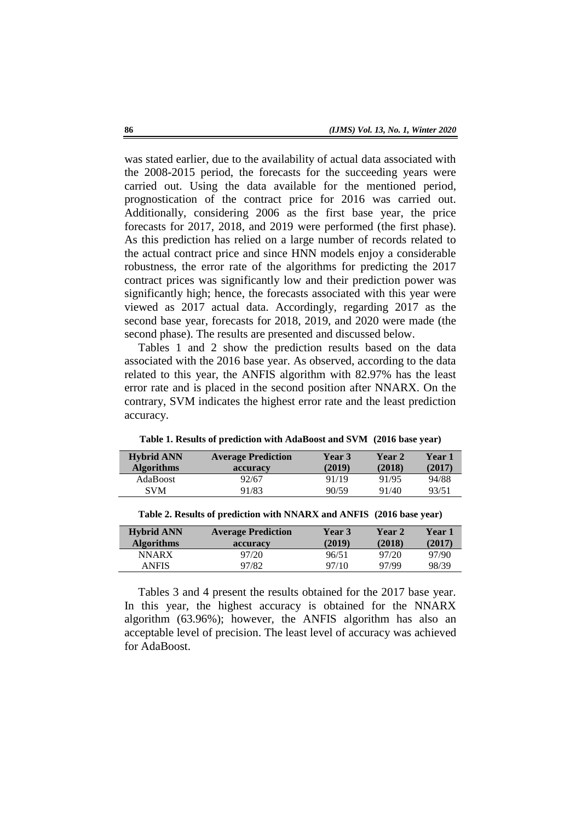was stated earlier, due to the availability of actual data associated with the 2008-2015 period, the forecasts for the succeeding years were carried out. Using the data available for the mentioned period, prognostication of the contract price for 2016 was carried out. Additionally, considering 2006 as the first base year, the price forecasts for 2017, 2018, and 2019 were performed (the first phase). As this prediction has relied on a large number of records related to the actual contract price and since HNN models enjoy a considerable robustness, the error rate of the algorithms for predicting the 2017 contract prices was significantly low and their prediction power was significantly high; hence, the forecasts associated with this year were viewed as 2017 actual data. Accordingly, regarding 2017 as the second base year, forecasts for 2018, 2019, and 2020 were made (the second phase). The results are presented and discussed below.

Tables 1 and 2 show the prediction results based on the data associated with the 2016 base year. As observed, according to the data related to this year, the ANFIS algorithm with 82.97% has the least error rate and is placed in the second position after NNARX. On the contrary, SVM indicates the highest error rate and the least prediction accuracy.

| <b>Hybrid ANN</b><br><b>Algorithms</b> | <b>Average Prediction</b><br>accuracy | <b>Year 3</b><br>(2019) | <b>Year 2</b><br>(2018) | Year 1<br>(2017) |
|----------------------------------------|---------------------------------------|-------------------------|-------------------------|------------------|
| <b>AdaBoost</b>                        | 92/67                                 | 91/19                   | 91/95                   | 94/88            |
| <b>SVM</b>                             | 91/83                                 | 90/59                   | 91/40                   | 93/51            |

**Table 1. Results of prediction with AdaBoost and SVM (2016 base year)**

| <b>Hybrid ANN</b> | <b>Average Prediction</b> | <b>Year 3</b> | <b>Year 2</b> | <b>Year 1</b> |
|-------------------|---------------------------|---------------|---------------|---------------|
| <b>Algorithms</b> | accuracy                  | (2019)        | (2018)        | (2017)        |
| <b>NNARX</b>      | 97/20                     | 96/51         | 97/20         | 97/90         |
| <b>ANFIS</b>      | 97/82                     | 97/10         | 97/99         | 98/39         |

**Table 2. Results of prediction with NNARX and ANFIS (2016 base year)**

Tables 3 and 4 present the results obtained for the 2017 base year. In this year, the highest accuracy is obtained for the NNARX algorithm (63.96%); however, the ANFIS algorithm has also an acceptable level of precision. The least level of accuracy was achieved for AdaBoost.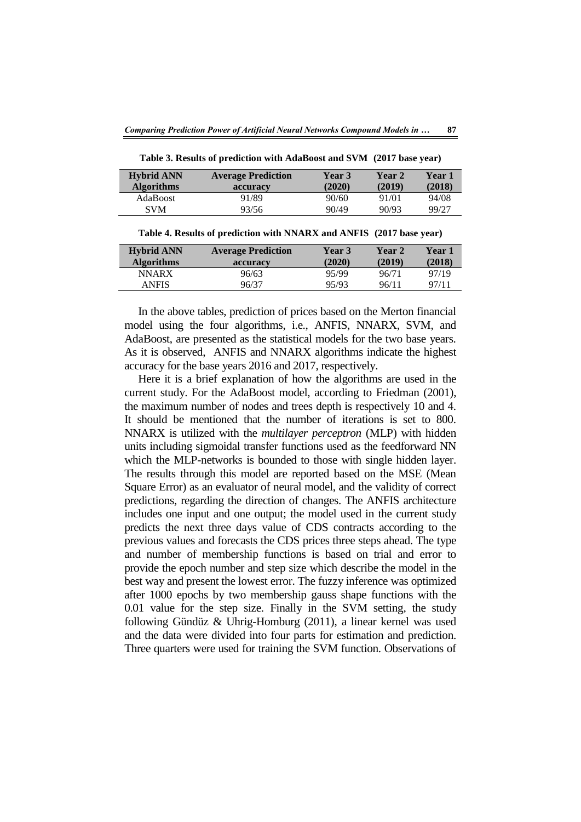| <b>Hybrid ANN</b><br><b>Algorithms</b> | <b>Average Prediction</b><br>accuracy | <b>Year 3</b><br>(2020) | Year 2<br>(2019) | <b>Year</b> 1<br>(2018) |
|----------------------------------------|---------------------------------------|-------------------------|------------------|-------------------------|
| <b>AdaBoost</b>                        | 91/89                                 | 90/60                   | 91/01            | 94/08                   |
| <b>SVM</b>                             | 93/56                                 | 90/49                   | 90/93            | 99/27                   |

**Table 3. Results of prediction with AdaBoost and SVM (2017 base year)**

**Table 4. Results of prediction with NNARX and ANFIS (2017 base year)**

| <b>Hybrid ANN</b><br><b>Algorithms</b> | <b>Average Prediction</b><br>accuracy | <b>Year 3</b><br>(2020) | <b>Year 2</b><br>(2019) | Year 1<br>(2018) |
|----------------------------------------|---------------------------------------|-------------------------|-------------------------|------------------|
| <b>NNARX</b>                           | 96/63                                 | 95/99                   | 96/71                   | 97/19            |
| ANFIS                                  | 96/37                                 | 95/93                   | 96/11                   | 97/11            |

In the above tables, prediction of prices based on the Merton financial model using the four algorithms, i.e., ANFIS, NNARX, SVM, and AdaBoost, are presented as the statistical models for the two base years. As it is observed, ANFIS and NNARX algorithms indicate the highest accuracy for the base years 2016 and 2017, respectively.

Here it is a brief explanation of how the algorithms are used in the current study. For the AdaBoost model, according to Friedman (2001), the maximum number of nodes and trees depth is respectively 10 and 4. It should be mentioned that the number of iterations is set to 800. NNARX is utilized with the *multilayer perceptron* (MLP) with hidden units including sigmoidal transfer functions used as the feedforward NN which the MLP-networks is bounded to those with single hidden layer. The results through this model are reported based on the MSE (Mean Square Error) as an evaluator of neural model, and the validity of correct predictions, regarding the direction of changes. The ANFIS architecture includes one input and one output; the model used in the current study predicts the next three days value of CDS contracts according to the previous values and forecasts the CDS prices three steps ahead. The type and number of membership functions is based on trial and error to provide the epoch number and step size which describe the model in the best way and present the lowest error. The fuzzy inference was optimized after 1000 epochs by two membership gauss shape functions with the 0.01 value for the step size. Finally in the SVM setting, the study following Gündüz & Uhrig-Homburg (2011), a linear kernel was used and the data were divided into four parts for estimation and prediction. Three quarters were used for training the SVM function. Observations of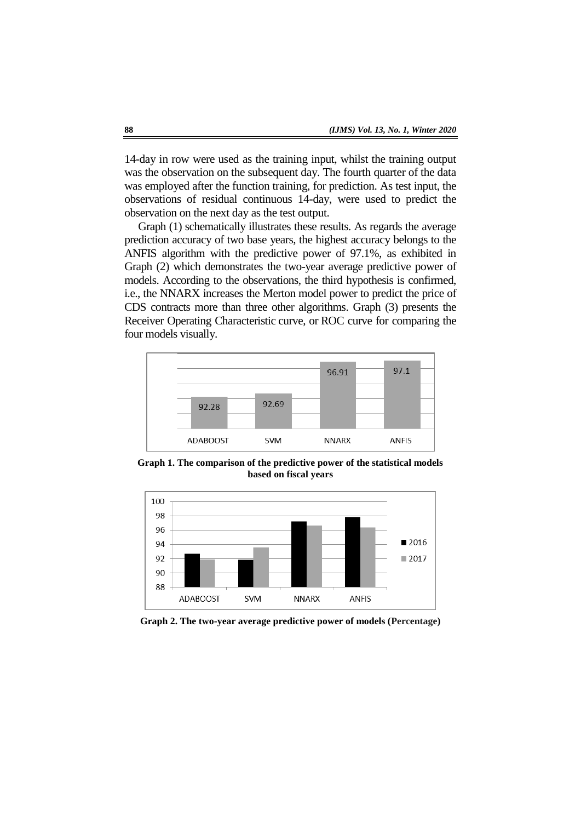14-day in row were used as the training input, whilst the training output was the observation on the subsequent day. The fourth quarter of the data was employed after the function training, for prediction. As test input, the observations of residual continuous 14-day, were used to predict the observation on the next day as the test output.

Graph (1) schematically illustrates these results. As regards the average prediction accuracy of two base years, the highest accuracy belongs to the ANFIS algorithm with the predictive power of 97.1%, as exhibited in Graph (2) which demonstrates the two-year average predictive power of models. According to the observations, the third hypothesis is confirmed, i.e., the NNARX increases the Merton model power to predict the price of CDS contracts more than three other algorithms. Graph (3) presents the Receiver Operating Characteristic curve, or ROC curve for comparing the four models visually.



**Graph 1. The comparison of the predictive power of the statistical models based on fiscal years**



**Graph 2. The two-year average predictive power of models (Percentage)**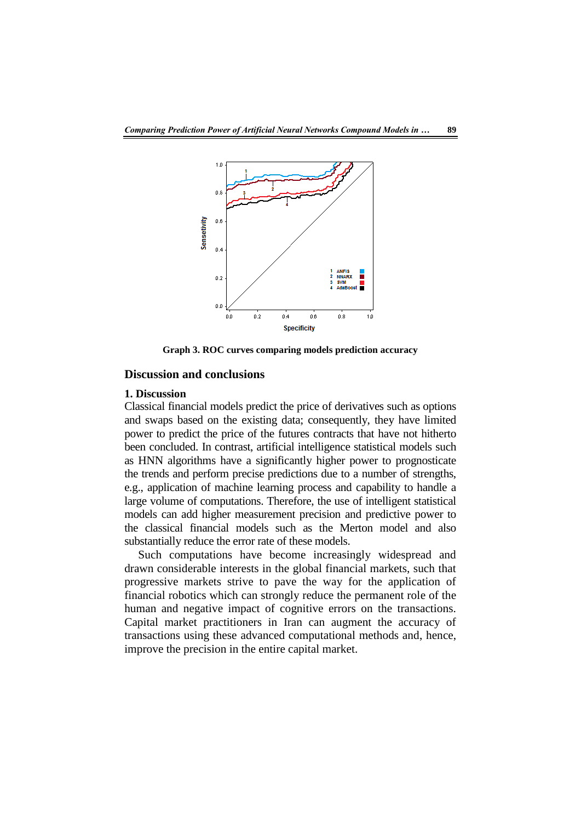

**Graph 3. ROC curves comparing models prediction accuracy**

# **Discussion and conclusions**

#### **1. Discussion**

Classical financial models predict the price of derivatives such as options and swaps based on the existing data; consequently, they have limited power to predict the price of the futures contracts that have not hitherto been concluded. In contrast, artificial intelligence statistical models such as HNN algorithms have a significantly higher power to prognosticate the trends and perform precise predictions due to a number of strengths, e.g., application of machine learning process and capability to handle a large volume of computations. Therefore, the use of intelligent statistical models can add higher measurement precision and predictive power to the classical financial models such as the Merton model and also substantially reduce the error rate of these models.

Such computations have become increasingly widespread and drawn considerable interests in the global financial markets, such that progressive markets strive to pave the way for the application of financial robotics which can strongly reduce the permanent role of the human and negative impact of cognitive errors on the transactions. Capital market practitioners in Iran can augment the accuracy of transactions using these advanced computational methods and, hence, improve the precision in the entire capital market.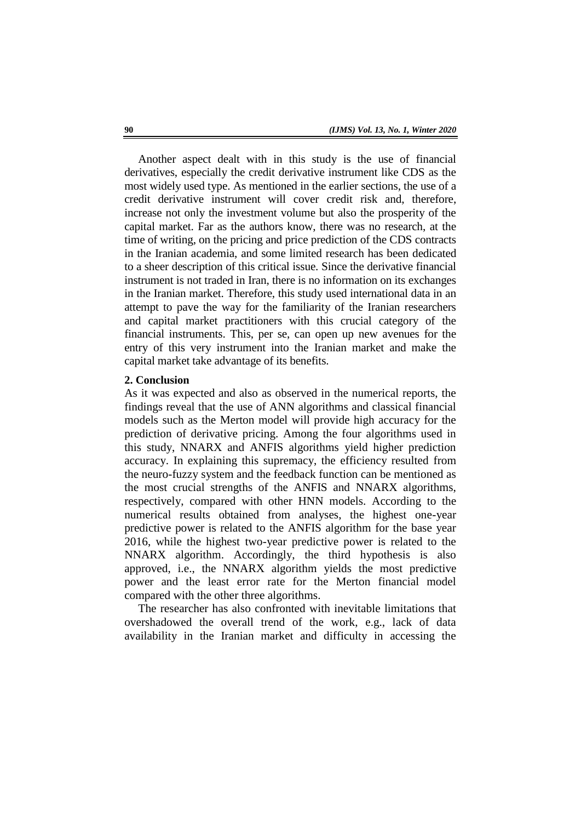Another aspect dealt with in this study is the use of financial derivatives, especially the credit derivative instrument like CDS as the most widely used type. As mentioned in the earlier sections, the use of a credit derivative instrument will cover credit risk and, therefore, increase not only the investment volume but also the prosperity of the capital market. Far as the authors know, there was no research, at the time of writing, on the pricing and price prediction of the CDS contracts in the Iranian academia, and some limited research has been dedicated to a sheer description of this critical issue. Since the derivative financial instrument is not traded in Iran, there is no information on its exchanges in the Iranian market. Therefore, this study used international data in an attempt to pave the way for the familiarity of the Iranian researchers and capital market practitioners with this crucial category of the financial instruments. This, per se, can open up new avenues for the entry of this very instrument into the Iranian market and make the capital market take advantage of its benefits.

#### **2. Conclusion**

As it was expected and also as observed in the numerical reports, the findings reveal that the use of ANN algorithms and classical financial models such as the Merton model will provide high accuracy for the prediction of derivative pricing. Among the four algorithms used in this study, NNARX and ANFIS algorithms yield higher prediction accuracy. In explaining this supremacy, the efficiency resulted from the neuro-fuzzy system and the feedback function can be mentioned as the most crucial strengths of the ANFIS and NNARX algorithms, respectively, compared with other HNN models. According to the numerical results obtained from analyses, the highest one-year predictive power is related to the ANFIS algorithm for the base year 2016, while the highest two-year predictive power is related to the NNARX algorithm. Accordingly, the third hypothesis is also approved, i.e., the NNARX algorithm yields the most predictive power and the least error rate for the Merton financial model compared with the other three algorithms.

The researcher has also confronted with inevitable limitations that overshadowed the overall trend of the work, e.g., lack of data availability in the Iranian market and difficulty in accessing the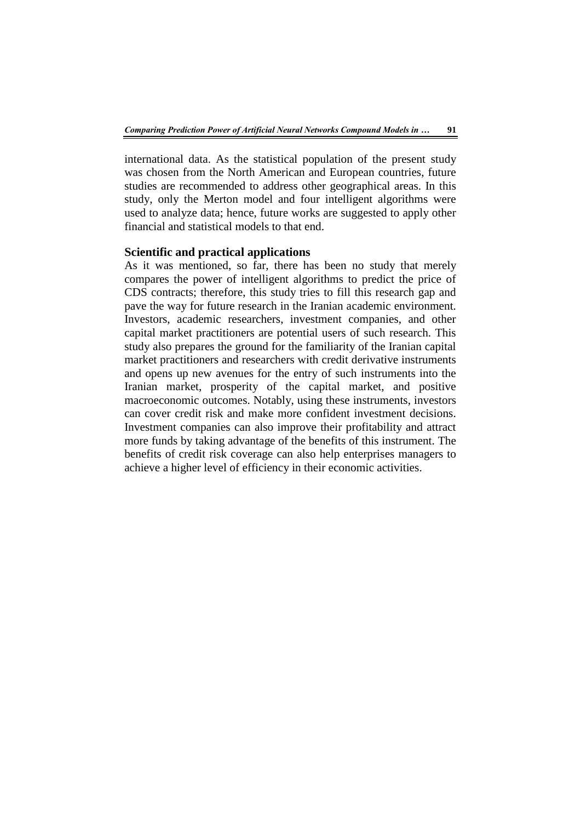international data. As the statistical population of the present study was chosen from the North American and European countries, future studies are recommended to address other geographical areas. In this study, only the Merton model and four intelligent algorithms were used to analyze data; hence, future works are suggested to apply other financial and statistical models to that end.

#### **Scientific and practical applications**

As it was mentioned, so far, there has been no study that merely compares the power of intelligent algorithms to predict the price of CDS contracts; therefore, this study tries to fill this research gap and pave the way for future research in the Iranian academic environment. Investors, academic researchers, investment companies, and other capital market practitioners are potential users of such research. This study also prepares the ground for the familiarity of the Iranian capital market practitioners and researchers with credit derivative instruments and opens up new avenues for the entry of such instruments into the Iranian market, prosperity of the capital market, and positive macroeconomic outcomes. Notably, using these instruments, investors can cover credit risk and make more confident investment decisions. Investment companies can also improve their profitability and attract more funds by taking advantage of the benefits of this instrument. The benefits of credit risk coverage can also help enterprises managers to achieve a higher level of efficiency in their economic activities.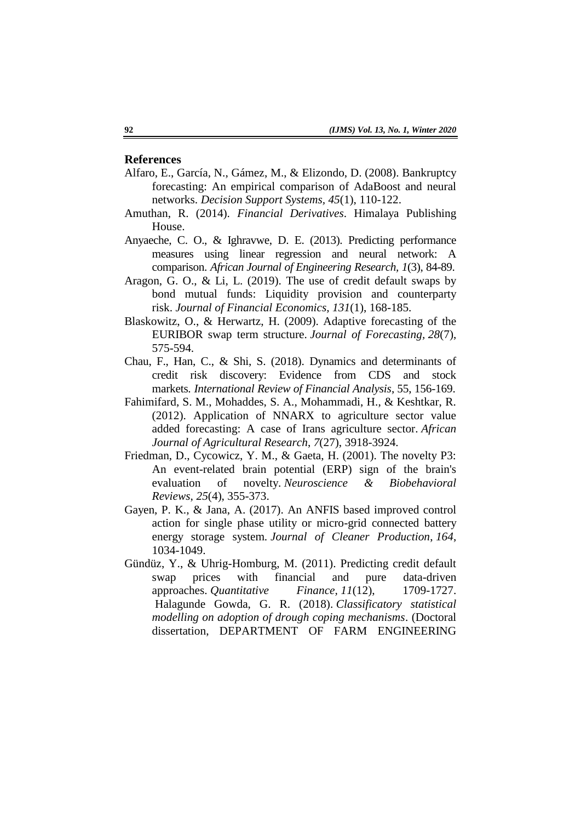### **References**

- Alfaro, E., García, N., Gámez, M., & Elizondo, D. (2008). Bankruptcy forecasting: An empirical comparison of AdaBoost and neural networks. *Decision Support Systems, 45*(1), 110-122.
- Amuthan, R. (2014). *Financial Derivatives*. Himalaya Publishing House.
- Anyaeche, C. O., & Ighravwe, D. E. (2013). Predicting performance measures using linear regression and neural network: A comparison. *African Journal of Engineering Research, 1*(3), 84-89.
- Aragon, G. O., & Li, L. (2019). The use of credit default swaps by bond mutual funds: Liquidity provision and counterparty risk. *Journal of Financial Economics, 131*(1), 168-185.
- Blaskowitz, O., & Herwartz, H. (2009). Adaptive forecasting of the EURIBOR swap term structure. *Journal of Forecasting, 28*(7), 575-594.
- Chau, F., Han, C., & Shi, S. (2018). Dynamics and determinants of credit risk discovery: Evidence from CDS and stock markets*. International Review of Financial Analysis*, 55, 156-169.
- Fahimifard, S. M., Mohaddes, S. A., Mohammadi, H., & Keshtkar, R. (2012). Application of NNARX to agriculture sector value added forecasting: A case of Irans agriculture sector. *African Journal of Agricultural Research*, *7*(27), 3918-3924.
- Friedman, D., Cycowicz, Y. M., & Gaeta, H. (2001). The novelty P3: An event-related brain potential (ERP) sign of the brain's evaluation of novelty. *Neuroscience & Biobehavioral Reviews*, *25*(4), 355-373.
- Gayen, P. K., & Jana, A. (2017). An ANFIS based improved control action for single phase utility or micro-grid connected battery energy storage system*. Journal of Cleaner Production*, *164*, 1034-1049.
- Gündüz, Y., & Uhrig-Homburg, M. (2011). Predicting credit default swap prices with financial and pure data-driven approaches. *Quantitative Finance, 11*(12), 1709-1727. Halagunde Gowda, G. R. (2018). *Classificatory statistical modelling on adoption of drough coping mechanisms*. (Doctoral dissertation, DEPARTMENT OF FARM ENGINEERING